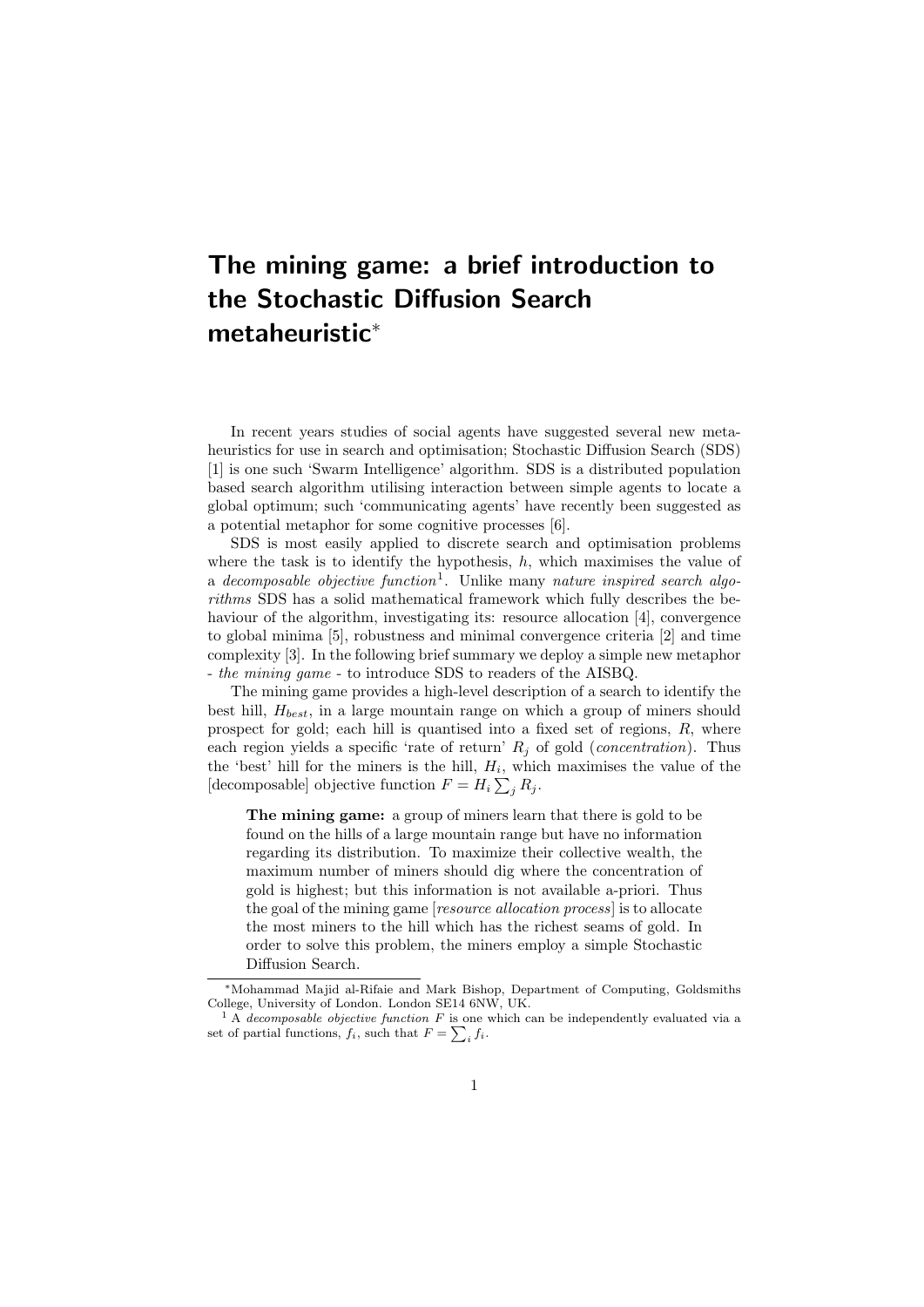## The mining game: a brief introduction to the Stochastic Diffusion Search metaheuristic<sup>∗</sup>

In recent years studies of social agents have suggested several new metaheuristics for use in search and optimisation; Stochastic Diffusion Search (SDS) [1] is one such 'Swarm Intelligence' algorithm. SDS is a distributed population based search algorithm utilising interaction between simple agents to locate a global optimum; such 'communicating agents' have recently been suggested as a potential metaphor for some cognitive processes [6].

SDS is most easily applied to discrete search and optimisation problems where the task is to identify the hypothesis,  $h$ , which maximises the value of a decomposable objective function<sup>1</sup>. Unlike many nature inspired search algorithms SDS has a solid mathematical framework which fully describes the behaviour of the algorithm, investigating its: resource allocation [4], convergence to global minima [5], robustness and minimal convergence criteria [2] and time complexity [3]. In the following brief summary we deploy a simple new metaphor - the mining game - to introduce SDS to readers of the AISBQ.

The mining game provides a high-level description of a search to identify the best hill,  $H_{best}$ , in a large mountain range on which a group of miners should prospect for gold; each hill is quantised into a fixed set of regions, R, where each region yields a specific 'rate of return'  $R_j$  of gold (*concentration*). Thus the 'best' hill for the miners is the hill,  $H_i$ , which maximises the value of the [decomposable] objective function  $F = H_i \sum_j R_j$ .

The mining game: a group of miners learn that there is gold to be found on the hills of a large mountain range but have no information regarding its distribution. To maximize their collective wealth, the maximum number of miners should dig where the concentration of gold is highest; but this information is not available a-priori. Thus the goal of the mining game [resource allocation process] is to allocate the most miners to the hill which has the richest seams of gold. In order to solve this problem, the miners employ a simple Stochastic Diffusion Search.

<sup>∗</sup>Mohammad Majid al-Rifaie and Mark Bishop, Department of Computing, Goldsmiths College, University of London. London SE14 6NW, UK.

 $<sup>1</sup>$  A decomposable objective function F is one which can be independently evaluated via a</sup> set of partial functions,  $f_i$ , such that  $F = \sum_i f_i$ .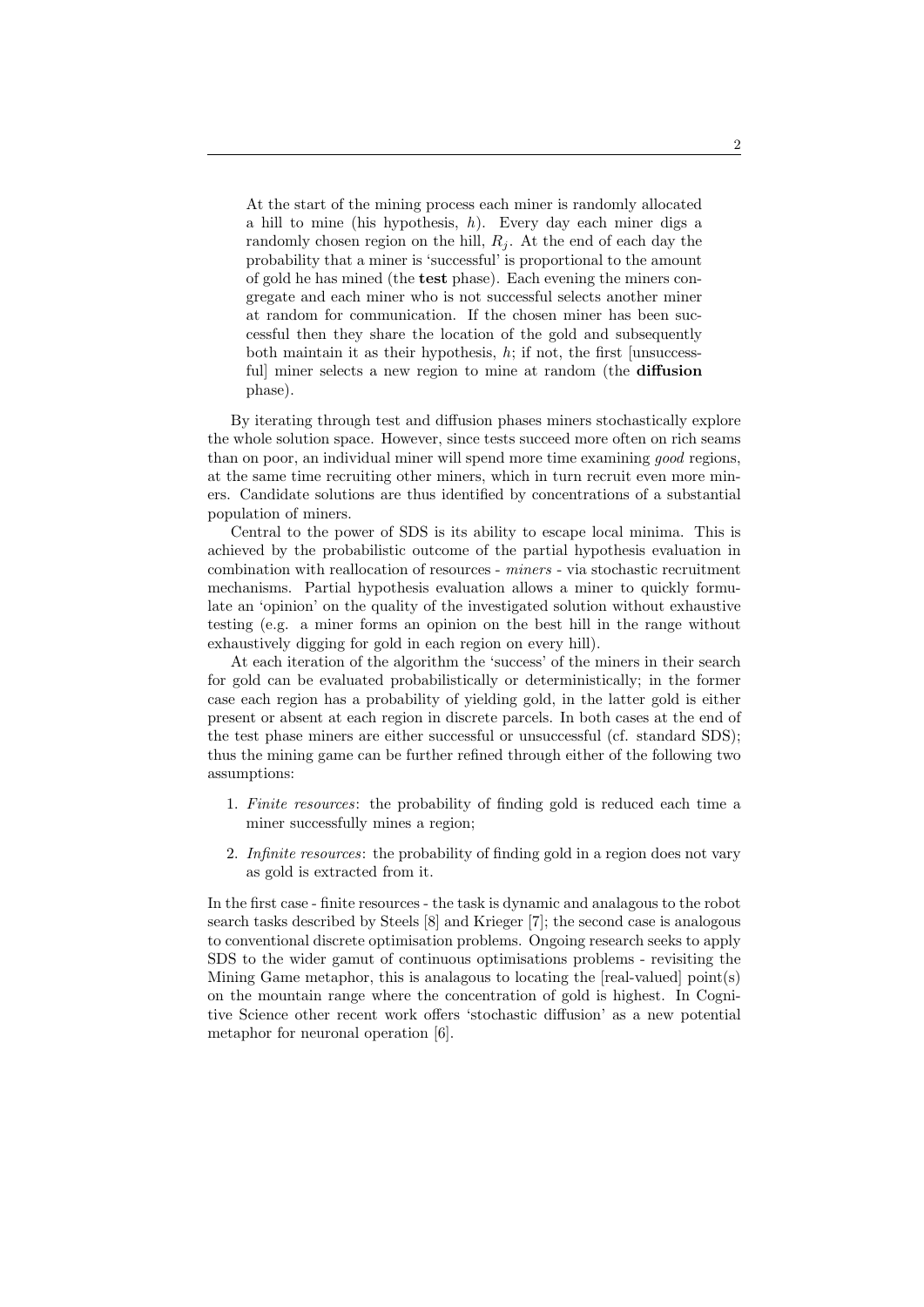At the start of the mining process each miner is randomly allocated a hill to mine (his hypothesis,  $h$ ). Every day each miner digs a randomly chosen region on the hill,  $R_j$ . At the end of each day the probability that a miner is 'successful' is proportional to the amount of gold he has mined (the test phase). Each evening the miners congregate and each miner who is not successful selects another miner at random for communication. If the chosen miner has been successful then they share the location of the gold and subsequently both maintain it as their hypothesis,  $h$ ; if not, the first [unsuccessfull miner selects a new region to mine at random (the **diffusion** phase).

By iterating through test and diffusion phases miners stochastically explore the whole solution space. However, since tests succeed more often on rich seams than on poor, an individual miner will spend more time examining good regions, at the same time recruiting other miners, which in turn recruit even more miners. Candidate solutions are thus identified by concentrations of a substantial population of miners.

Central to the power of SDS is its ability to escape local minima. This is achieved by the probabilistic outcome of the partial hypothesis evaluation in combination with reallocation of resources - miners - via stochastic recruitment mechanisms. Partial hypothesis evaluation allows a miner to quickly formulate an 'opinion' on the quality of the investigated solution without exhaustive testing (e.g. a miner forms an opinion on the best hill in the range without exhaustively digging for gold in each region on every hill).

At each iteration of the algorithm the 'success' of the miners in their search for gold can be evaluated probabilistically or deterministically; in the former case each region has a probability of yielding gold, in the latter gold is either present or absent at each region in discrete parcels. In both cases at the end of the test phase miners are either successful or unsuccessful (cf. standard SDS); thus the mining game can be further refined through either of the following two assumptions:

- 1. Finite resources: the probability of finding gold is reduced each time a miner successfully mines a region;
- 2. Infinite resources: the probability of finding gold in a region does not vary as gold is extracted from it.

In the first case - finite resources - the task is dynamic and analagous to the robot search tasks described by Steels [8] and Krieger [7]; the second case is analogous to conventional discrete optimisation problems. Ongoing research seeks to apply SDS to the wider gamut of continuous optimisations problems - revisiting the Mining Game metaphor, this is analagous to locating the [real-valued] point(s) on the mountain range where the concentration of gold is highest. In Cognitive Science other recent work offers 'stochastic diffusion' as a new potential metaphor for neuronal operation [6].